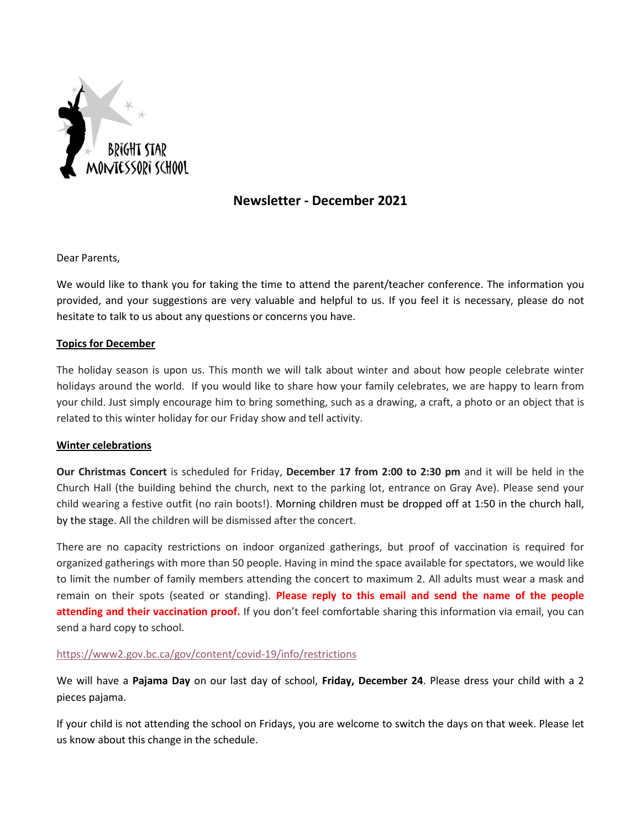

# **Newsletter - December 2021**

Dear Parents,

We would like to thank you for taking the time to attend the parent/teacher conference. The information you provided, and your suggestions are very valuable and helpful to us. If you feel it is necessary, please do not hesitate to talk to us about any questions or concerns you have.

## **Topics for December**

The holiday season is upon us. This month we will talk about winter and about how people celebrate winter holidays around the world. If you would like to share how your family celebrates, we are happy to learn from your child. Just simply encourage him to bring something, such as a drawing, a craft, a photo or an object that is related to this winter holiday for our Friday show and tell activity.

## **Winter celebrations**

**Our Christmas Concert** is scheduled for Friday, **December 17 from 2:00 to 2:30 pm** and it will be held in the Church Hall (the building behind the church, next to the parking lot, entrance on Gray Ave). Please send your child wearing a festive outfit (no rain boots!). Morning children must be dropped off at 1:50 in the church hall, by the stage. All the children will be dismissed after the concert.

There are no capacity restrictions on indoor organized gatherings, but proof of vaccination is required for organized gatherings with more than 50 people. Having in mind the space available for spectators, we would like to limit the number of family members attending the concert to maximum 2. All adults must wear a mask and remain on their spots (seated or standing). **Please reply to this email and send the name of the people attending and their vaccination proof.** If you don't feel comfortable sharing this information via email, you can send a hard copy to school.

## <https://www2.gov.bc.ca/gov/content/covid-19/info/restrictions>

We will have a **Pajama Day** on our last day of school, **Friday, December 24**. Please dress your child with a 2 pieces pajama.

If your child is not attending the school on Fridays, you are welcome to switch the days on that week. Please let us know about this change in the schedule.